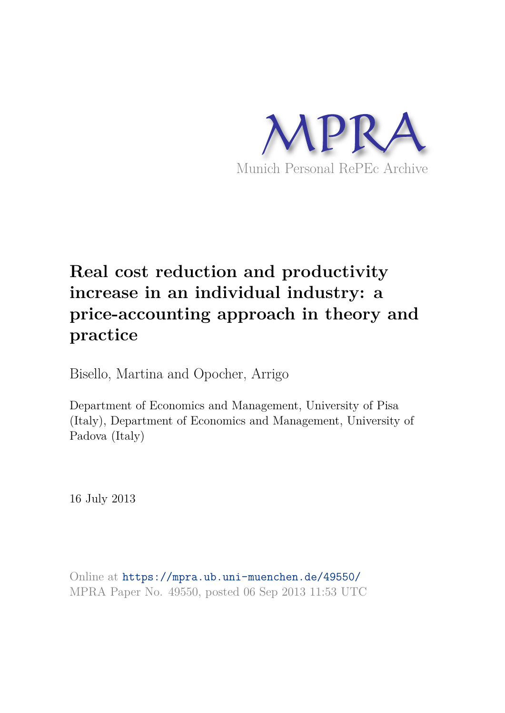

# **Real cost reduction and productivity increase in an individual industry: a price-accounting approach in theory and practice**

Bisello, Martina and Opocher, Arrigo

Department of Economics and Management, University of Pisa (Italy), Department of Economics and Management, University of Padova (Italy)

16 July 2013

Online at https://mpra.ub.uni-muenchen.de/49550/ MPRA Paper No. 49550, posted 06 Sep 2013 11:53 UTC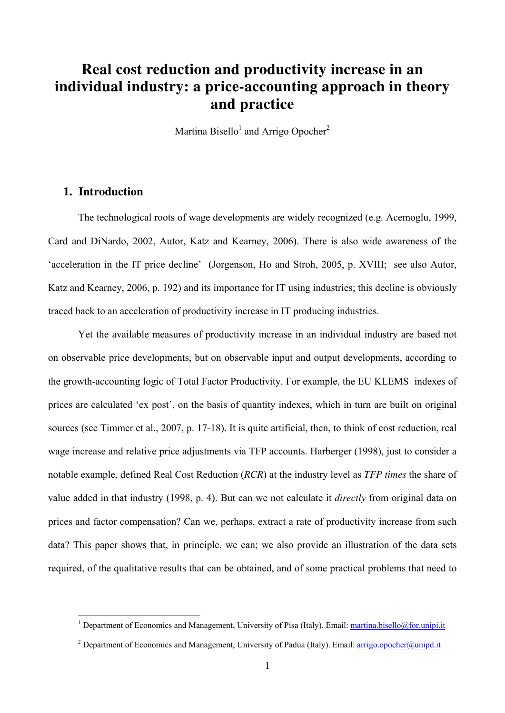### **Real cost reduction and productivity increase in an individual industry: a price-accounting approach in theory and practice**

Martina Bisello<sup>1</sup> and Arrigo Opocher<sup>2</sup>

#### **1. Introduction**

 $\overline{a}$ 

The technological roots of wage developments are widely recognized (e.g. Acemoglu, 1999, Card and DiNardo, 2002, Autor, Katz and Kearney, 2006). There is also wide awareness of the 'acceleration in the IT price decline' (Jorgenson, Ho and Stroh, 2005, p. XVIII; see also Autor, Katz and Kearney, 2006, p. 192) and its importance for IT using industries; this decline is obviously traced back to an acceleration of productivity increase in IT producing industries.

Yet the available measures of productivity increase in an individual industry are based not on observable price developments, but on observable input and output developments, according to the growth-accounting logic of Total Factor Productivity. For example, the EU KLEMS indexes of prices are calculated 'ex post', on the basis of quantity indexes, which in turn are built on original sources (see Timmer et al., 2007, p. 17-18). It is quite artificial, then, to think of cost reduction, real wage increase and relative price adjustments via TFP accounts. Harberger (1998), just to consider a notable example, defined Real Cost Reduction (*RCR*) at the industry level as *TFP times* the share of value added in that industry (1998, p. 4). But can we not calculate it *directly* from original data on prices and factor compensation? Can we, perhaps, extract a rate of productivity increase from such data? This paper shows that, in principle, we can; we also provide an illustration of the data sets required, of the qualitative results that can be obtained, and of some practical problems that need to

<sup>&</sup>lt;sup>1</sup> Department of Economics and Management, University of Pisa (Italy). Email: martina.bisello@for.unipi.it

<sup>&</sup>lt;sup>2</sup> Department of Economics and Management, University of Padua (Italy). Email: **arrigo.opocher@unipd.it**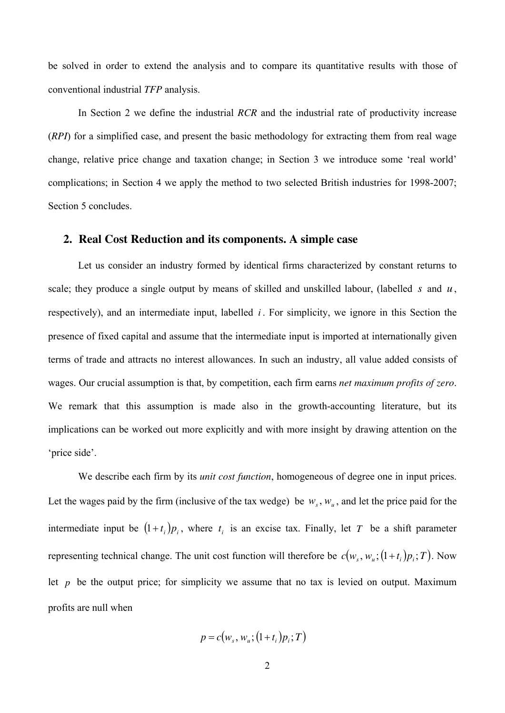be solved in order to extend the analysis and to compare its quantitative results with those of conventional industrial *TFP* analysis.

In Section 2 we define the industrial *RCR* and the industrial rate of productivity increase (*RPI*) for a simplified case, and present the basic methodology for extracting them from real wage change, relative price change and taxation change; in Section 3 we introduce some 'real world' complications; in Section 4 we apply the method to two selected British industries for 1998-2007; Section 5 concludes.

#### **2. Real Cost Reduction and its components. A simple case**

Let us consider an industry formed by identical firms characterized by constant returns to scale; they produce a single output by means of skilled and unskilled labour, (labelled *s* and *u* , respectively), and an intermediate input, labelled *i*. For simplicity, we ignore in this Section the presence of fixed capital and assume that the intermediate input is imported at internationally given terms of trade and attracts no interest allowances. In such an industry, all value added consists of wages. Our crucial assumption is that, by competition, each firm earns *net maximum profits of zero*. We remark that this assumption is made also in the growth-accounting literature, but its implications can be worked out more explicitly and with more insight by drawing attention on the 'price side'.

We describe each firm by its *unit cost function*, homogeneous of degree one in input prices. Let the wages paid by the firm (inclusive of the tax wedge) be  $w_s$ ,  $w_u$ , and let the price paid for the intermediate input be  $(1+t_i)p_i$ , where  $t_i$  is an excise tax. Finally, let *T* be a shift parameter representing technical change. The unit cost function will therefore be  $c(w_s, w_u; (1+t_i)p_i; T)$ . Now let  $p$  be the output price; for simplicity we assume that no tax is levied on output. Maximum profits are null when

$$
p = c(ws, wu; (1+ti)pi; T)
$$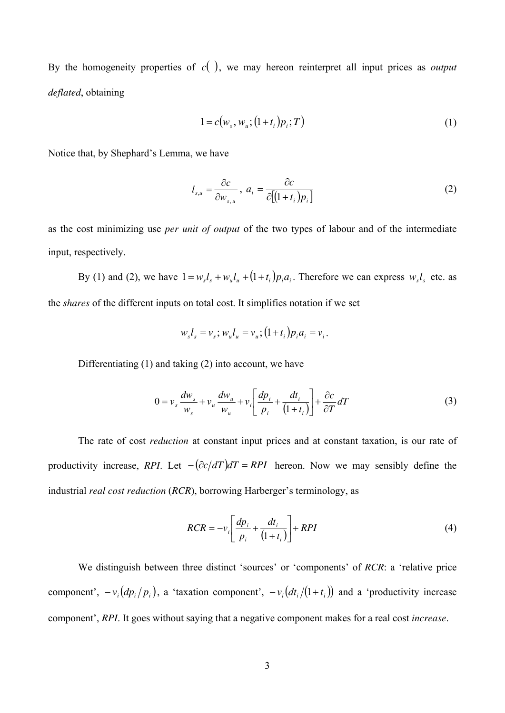By the homogeneity properties of  $c( )$ , we may hereon reinterpret all input prices as *output deflated*, obtaining

$$
1 = c(w_s, w_u; (1 + t_i)p_i; T)
$$
 (1)

Notice that, by Shephard's Lemma, we have

$$
l_{s,u} = \frac{\partial c}{\partial w_{s,u}}, \ a_i = \frac{\partial c}{\partial [(1+t_i)p_i]}
$$
 (2)

as the cost minimizing use *per unit of output* of the two types of labour and of the intermediate input, respectively.

By (1) and (2), we have  $1 = w_s l_s + w_u l_u + (1 + t_i) p_i a_i$ . Therefore we can express  $w_s l_s$  etc. as the *shares* of the different inputs on total cost. It simplifies notation if we set

$$
w_s l_s = v_s
$$
;  $w_u l_u = v_u$ ;  $(1 + t_i) p_i a_i = v_i$ .

Differentiating (1) and taking (2) into account, we have

$$
0 = v_s \frac{dw_s}{w_s} + v_u \frac{dw_u}{w_u} + v_i \left[ \frac{dp_i}{p_i} + \frac{dt_i}{(1+t_i)} \right] + \frac{\partial c}{\partial T} dT \tag{3}
$$

The rate of cost *reduction* at constant input prices and at constant taxation, is our rate of productivity increase, *RPI*. Let  $-(\partial c/dT)dT = RPI$  hereon. Now we may sensibly define the industrial *real cost reduction* (*RCR*), borrowing Harberger's terminology, as

$$
RCR = -v_i \left[ \frac{dp_i}{p_i} + \frac{dt_i}{(1+t_i)} \right] + RPI \tag{4}
$$

We distinguish between three distinct 'sources' or 'components' of *RCR*: a 'relative price component',  $-v_i(dp_i/p_i)$ , a 'taxation component',  $-v_i(dt_i/(1+t_i))$  and a 'productivity increase component', *RPI*. It goes without saying that a negative component makes for a real cost *increase*.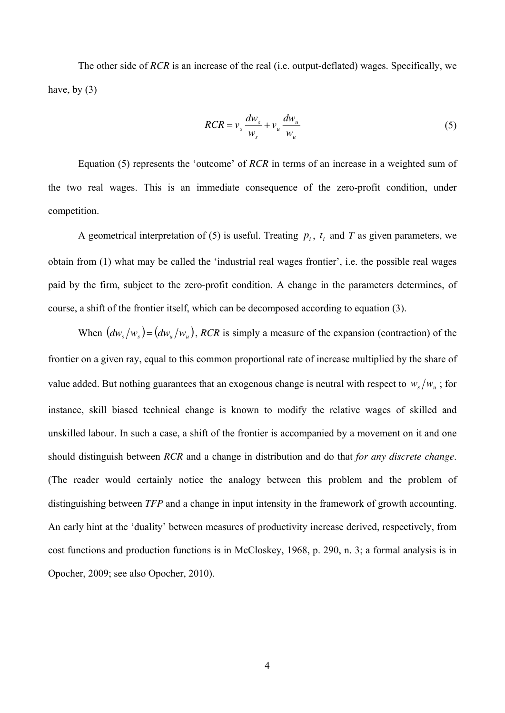The other side of *RCR* is an increase of the real (i.e. output-deflated) wages. Specifically, we have, by  $(3)$ 

$$
RCR = v_s \frac{dw_s}{w_s} + v_u \frac{dw_u}{w_u}
$$
 (5)

Equation (5) represents the 'outcome' of *RCR* in terms of an increase in a weighted sum of the two real wages. This is an immediate consequence of the zero-profit condition, under competition.

A geometrical interpretation of (5) is useful. Treating  $p_i$ ,  $t_i$  and  $T$  as given parameters, we obtain from (1) what may be called the 'industrial real wages frontier', i.e. the possible real wages paid by the firm, subject to the zero-profit condition. A change in the parameters determines, of course, a shift of the frontier itself, which can be decomposed according to equation (3).

When  $\left( \frac{dw_s}{w_s} \right) = \left( \frac{dw_u}{w_u} \right)$ , *RCR* is simply a measure of the expansion (contraction) of the frontier on a given ray, equal to this common proportional rate of increase multiplied by the share of value added. But nothing guarantees that an exogenous change is neutral with respect to  $w_s/w_u$ ; for instance, skill biased technical change is known to modify the relative wages of skilled and unskilled labour. In such a case, a shift of the frontier is accompanied by a movement on it and one should distinguish between *RCR* and a change in distribution and do that *for any discrete change*. (The reader would certainly notice the analogy between this problem and the problem of distinguishing between *TFP* and a change in input intensity in the framework of growth accounting. An early hint at the 'duality' between measures of productivity increase derived, respectively, from cost functions and production functions is in McCloskey, 1968, p. 290, n. 3; a formal analysis is in Opocher, 2009; see also Opocher, 2010).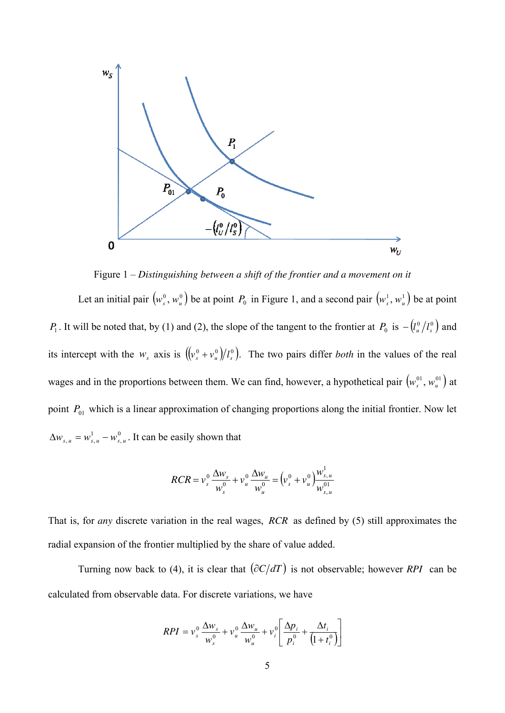

Figure 1 – *Distinguishing between a shift of the frontier and a movement on it* 

Let an initial pair  $(w_s^0, w_u^0)$  be at point  $P_0$  in Figure 1, and a second pair  $(w_s^1, w_u^1)$  be at point *P*<sub>1</sub>. It will be noted that, by (1) and (2), the slope of the tangent to the frontier at *P*<sub>0</sub> is  $-(l_u^0/l_s^0)$  and its intercept with the  $w_s$  axis is  $((v_s^0 + v_u^0)/l_s^0)$ . The two pairs differ *both* in the values of the real wages and in the proportions between them. We can find, however, a hypothetical pair  $(w_s^0, w_u^0)$  at point  $P_{01}$  which is a linear approximation of changing proportions along the initial frontier. Now let  $\boldsymbol{0}$  $\Delta w_{s,u} = w_{s,u}^1 - w_{s,u}^0$ . It can be easily shown that

$$
RCR = v_s^0 \frac{\Delta w_s}{w_s^0} + v_u^0 \frac{\Delta w_u}{w_u^0} = (v_s^0 + v_u^0) \frac{w_{s,u}^1}{w_{s,u}^{01}}
$$

That is, for *any* discrete variation in the real wages, *RCR* as defined by (5) still approximates the radial expansion of the frontier multiplied by the share of value added.

Turning now back to (4), it is clear that  $\left(\frac{\partial C}{dT}\right)$  is not observable; however *RPI* can be calculated from observable data. For discrete variations, we have

$$
RPI = v_s^0 \frac{\Delta w_s}{w_s^0} + v_u^0 \frac{\Delta w_u}{w_u^0} + v_i^0 \left[ \frac{\Delta p_i}{p_i^0} + \frac{\Delta t_i}{(1 + t_i^0)} \right]
$$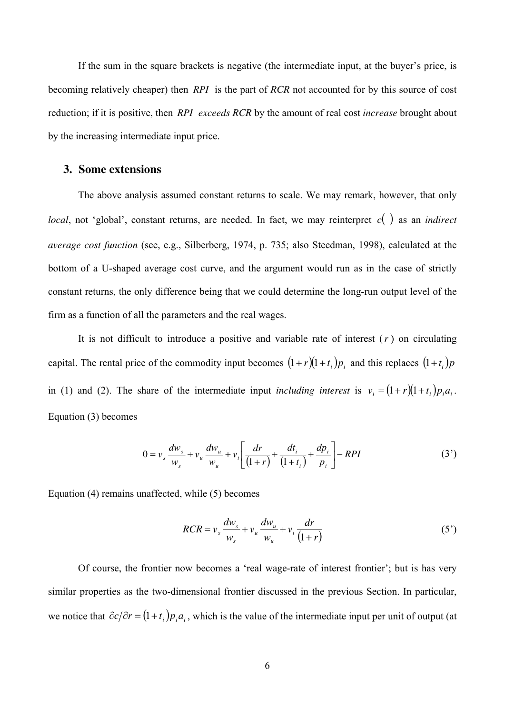If the sum in the square brackets is negative (the intermediate input, at the buyer's price, is becoming relatively cheaper) then *RPI* is the part of *RCR* not accounted for by this source of cost reduction; if it is positive, then *RPI exceeds RCR* by the amount of real cost *increase* brought about by the increasing intermediate input price.

#### **3. Some extensions**

The above analysis assumed constant returns to scale. We may remark, however, that only *local*, not 'global', constant returns, are needed. In fact, we may reinterpret  $c()$  as an *indirect average cost function* (see, e.g., Silberberg, 1974, p. 735; also Steedman, 1998), calculated at the bottom of a U-shaped average cost curve, and the argument would run as in the case of strictly constant returns, the only difference being that we could determine the long-run output level of the firm as a function of all the parameters and the real wages.

It is not difficult to introduce a positive and variable rate of interest (*r* ) on circulating capital. The rental price of the commodity input becomes  $(1 + r)(1 + t_i)p_i$  and this replaces  $(1 + t_i)p_i$ in (1) and (2). The share of the intermediate input *including interest* is  $v_i = (1 + r)(1 + t_i)p_i a_i$ . Equation (3) becomes

$$
0 = v_s \frac{dw_s}{w_s} + v_u \frac{dw_u}{w_u} + v_i \left[ \frac{dr}{(1+r)} + \frac{dt_i}{(1+t_i)} + \frac{dp_i}{p_i} \right] - RPI
$$
 (3')

Equation (4) remains unaffected, while (5) becomes

$$
RCR = v_s \frac{dw_s}{w_s} + v_u \frac{dw_u}{w_u} + v_i \frac{dr}{(1+r)}
$$
(5')

Of course, the frontier now becomes a 'real wage-rate of interest frontier'; but is has very similar properties as the two-dimensional frontier discussed in the previous Section. In particular, we notice that  $\partial c/\partial r = (1+t_i)p_i a_i$ , which is the value of the intermediate input per unit of output (at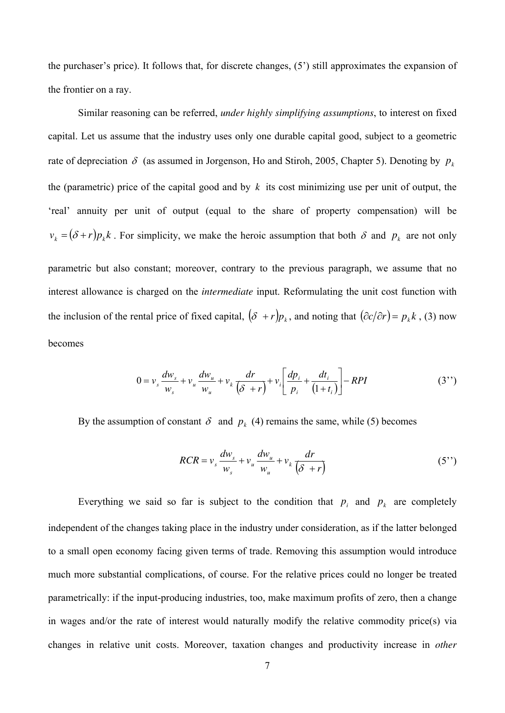the purchaser's price). It follows that, for discrete changes, (5') still approximates the expansion of the frontier on a ray.

Similar reasoning can be referred, *under highly simplifying assumptions*, to interest on fixed capital. Let us assume that the industry uses only one durable capital good, subject to a geometric rate of depreciation  $\delta$  (as assumed in Jorgenson, Ho and Stiroh, 2005, Chapter 5). Denoting by  $p_k$ the (parametric) price of the capital good and by  $k$  its cost minimizing use per unit of output, the 'real' annuity per unit of output (equal to the share of property compensation) will be  $v_k = (\delta + r)p_k k$ . For simplicity, we make the heroic assumption that both  $\delta$  and  $p_k$  are not only

parametric but also constant; moreover, contrary to the previous paragraph, we assume that no interest allowance is charged on the *intermediate* input. Reformulating the unit cost function with the inclusion of the rental price of fixed capital,  $(\delta + r)p_k$ , and noting that  $(\partial c/\partial r) = p_k k$ , (3) now becomes

$$
0 = v_s \frac{dw_s}{w_s} + v_u \frac{dw_u}{w_u} + v_k \frac{dr}{(\delta + r)} + v_i \left[ \frac{dp_i}{p_i} + \frac{dt_i}{(1 + t_i)} \right] - RPI
$$
 (3'')

By the assumption of constant  $\delta$  and  $p_k$  (4) remains the same, while (5) becomes

$$
RCR = v_s \frac{dw_s}{w_s} + v_u \frac{dw_u}{w_u} + v_k \frac{dr}{(\delta + r)}
$$
(5'')

Everything we said so far is subject to the condition that  $p_i$  and  $p_k$  are completely independent of the changes taking place in the industry under consideration, as if the latter belonged to a small open economy facing given terms of trade. Removing this assumption would introduce much more substantial complications, of course. For the relative prices could no longer be treated parametrically: if the input-producing industries, too, make maximum profits of zero, then a change in wages and/or the rate of interest would naturally modify the relative commodity price(s) via changes in relative unit costs. Moreover, taxation changes and productivity increase in *other*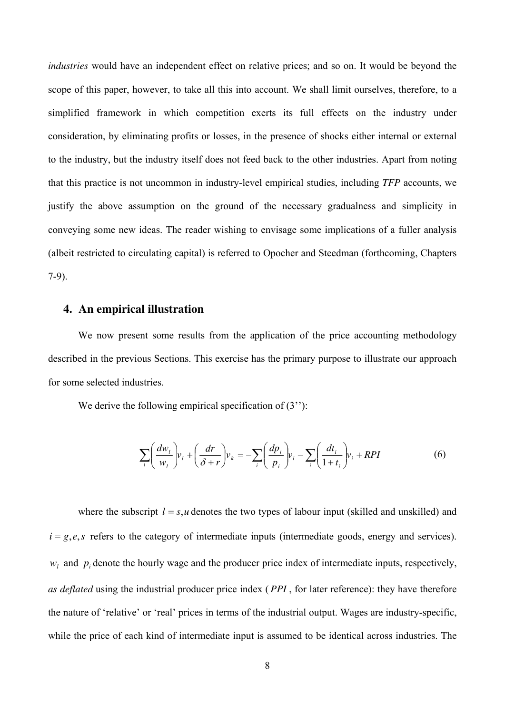*industries* would have an independent effect on relative prices; and so on. It would be beyond the scope of this paper, however, to take all this into account. We shall limit ourselves, therefore, to a simplified framework in which competition exerts its full effects on the industry under consideration, by eliminating profits or losses, in the presence of shocks either internal or external to the industry, but the industry itself does not feed back to the other industries. Apart from noting that this practice is not uncommon in industry-level empirical studies, including *TFP* accounts, we justify the above assumption on the ground of the necessary gradualness and simplicity in conveying some new ideas. The reader wishing to envisage some implications of a fuller analysis (albeit restricted to circulating capital) is referred to Opocher and Steedman (forthcoming, Chapters 7-9).

#### **4. An empirical illustration**

We now present some results from the application of the price accounting methodology described in the previous Sections. This exercise has the primary purpose to illustrate our approach for some selected industries.

We derive the following empirical specification of (3<sup>''</sup>):

$$
\sum_{i} \left( \frac{dw_i}{w_i} \right) v_i + \left( \frac{dr}{\delta + r} \right) v_k = -\sum_{i} \left( \frac{dp_i}{p_i} \right) v_i - \sum_{i} \left( \frac{dt_i}{1 + t_i} \right) v_i + RPI \tag{6}
$$

where the subscript  $l = s, u$  denotes the two types of labour input (skilled and unskilled) and  $i = g, e, s$  refers to the category of intermediate inputs (intermediate goods, energy and services).  $w_l$  and  $p_i$  denote the hourly wage and the producer price index of intermediate inputs, respectively, *as deflated* using the industrial producer price index ( *PPI* , for later reference): they have therefore the nature of 'relative' or 'real' prices in terms of the industrial output. Wages are industry-specific, while the price of each kind of intermediate input is assumed to be identical across industries. The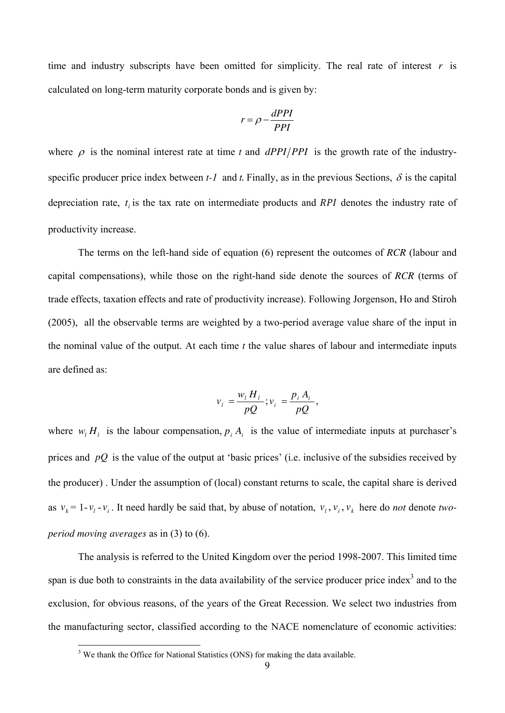time and industry subscripts have been omitted for simplicity. The real rate of interest  $r$  is calculated on long-term maturity corporate bonds and is given by:

$$
r = \rho - \frac{dPPI}{PPI}
$$

where  $\rho$  is the nominal interest rate at time t and  $dPPI/PPI$  is the growth rate of the industryspecific producer price index between  $t-1$  and  $t$ . Finally, as in the previous Sections,  $\delta$  is the capital depreciation rate,  $t_i$  is the tax rate on intermediate products and  $RPI$  denotes the industry rate of productivity increase.

The terms on the left-hand side of equation (6) represent the outcomes of *RCR* (labour and capital compensations), while those on the right-hand side denote the sources of *RCR* (terms of trade effects, taxation effects and rate of productivity increase). Following Jorgenson, Ho and Stiroh (2005), all the observable terms are weighted by a two-period average value share of the input in the nominal value of the output. At each time *t* the value shares of labour and intermediate inputs are defined as:

$$
v_i = \frac{w_i H_i}{pQ}; v_i = \frac{p_i A_i}{pQ},
$$

where  $w_l H_l$  is the labour compensation,  $p_i A_i$  is the value of intermediate inputs at purchaser's prices and *pQ* is the value of the output at 'basic prices' (i.e. inclusive of the subsidies received by the producer) . Under the assumption of (local) constant returns to scale, the capital share is derived as  $v_k = 1 - v_l - v_i$ . It need hardly be said that, by abuse of notation,  $v_l$ ,  $v_i$ ,  $v_k$  here do *not* denote *twoperiod moving averages* as in (3) to (6).

The analysis is referred to the United Kingdom over the period 1998-2007. This limited time span is due both to constraints in the data availability of the service producer price index<sup>3</sup> and to the exclusion, for obvious reasons, of the years of the Great Recession. We select two industries from the manufacturing sector, classified according to the NACE nomenclature of economic activities:

<sup>&</sup>lt;sup>3</sup> We thank the Office for National Statistics (ONS) for making the data available.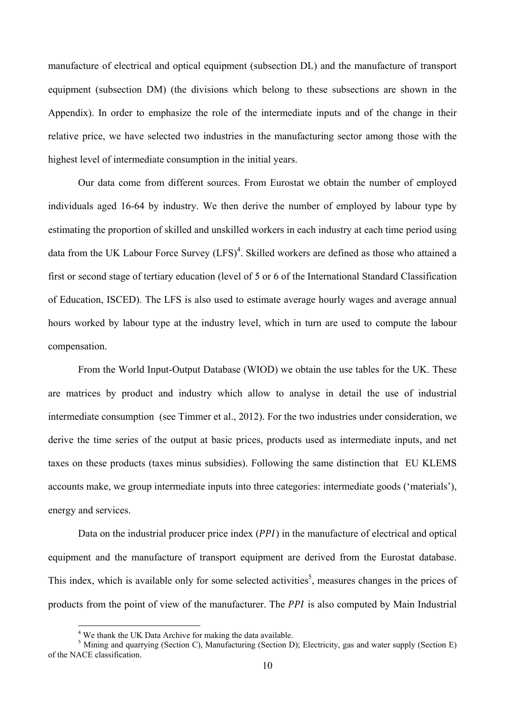manufacture of electrical and optical equipment (subsection DL) and the manufacture of transport equipment (subsection DM) (the divisions which belong to these subsections are shown in the Appendix). In order to emphasize the role of the intermediate inputs and of the change in their relative price, we have selected two industries in the manufacturing sector among those with the highest level of intermediate consumption in the initial years.

Our data come from different sources. From Eurostat we obtain the number of employed individuals aged 16-64 by industry. We then derive the number of employed by labour type by estimating the proportion of skilled and unskilled workers in each industry at each time period using data from the UK Labour Force Survey (LFS)<sup>4</sup>. Skilled workers are defined as those who attained a first or second stage of tertiary education (level of 5 or 6 of the International Standard Classification of Education, ISCED). The LFS is also used to estimate average hourly wages and average annual hours worked by labour type at the industry level, which in turn are used to compute the labour compensation.

From the World Input-Output Database (WIOD) we obtain the use tables for the UK. These are matrices by product and industry which allow to analyse in detail the use of industrial intermediate consumption (see Timmer et al., 2012). For the two industries under consideration, we derive the time series of the output at basic prices, products used as intermediate inputs, and net taxes on these products (taxes minus subsidies). Following the same distinction that EU KLEMS accounts make, we group intermediate inputs into three categories: intermediate goods ('materials'), energy and services.

Data on the industrial producer price index  $(PPI)$  in the manufacture of electrical and optical equipment and the manufacture of transport equipment are derived from the Eurostat database. This index, which is available only for some selected activities<sup>5</sup>, measures changes in the prices of products from the point of view of the manufacturer. The *PPI* is also computed by Main Industrial

 4 We thank the UK Data Archive for making the data available.

<sup>&</sup>lt;sup>5</sup> Mining and quarrying (Section C), Manufacturing (Section D); Electricity, gas and water supply (Section E) of the NACE classification.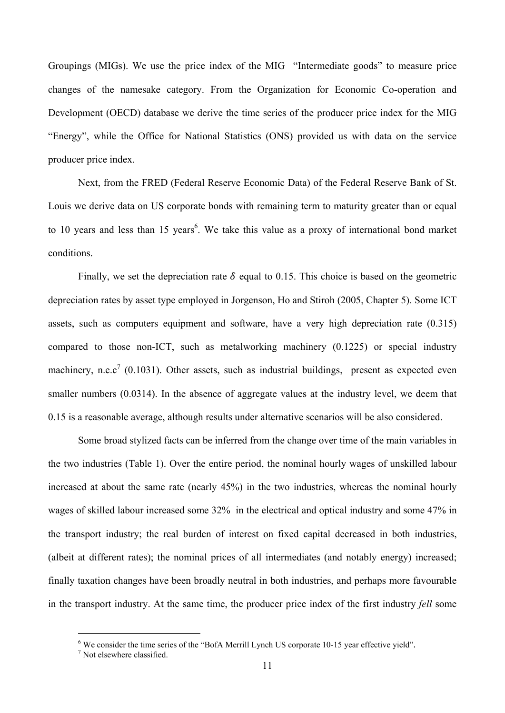Groupings (MIGs). We use the price index of the MIG "Intermediate goods" to measure price changes of the namesake category. From the Organization for Economic Co-operation and Development (OECD) database we derive the time series of the producer price index for the MIG "Energy", while the Office for National Statistics (ONS) provided us with data on the service producer price index.

Next, from the FRED (Federal Reserve Economic Data) of the Federal Reserve Bank of St. Louis we derive data on US corporate bonds with remaining term to maturity greater than or equal to 10 years and less than 15 years<sup>6</sup>. We take this value as a proxy of international bond market conditions.

Finally, we set the depreciation rate  $\delta$  equal to 0.15. This choice is based on the geometric depreciation rates by asset type employed in Jorgenson, Ho and Stiroh (2005, Chapter 5). Some ICT assets, such as computers equipment and software, have a very high depreciation rate (0.315) compared to those non-ICT, such as metalworking machinery (0.1225) or special industry machinery, n.e.c<sup>7</sup> (0.1031). Other assets, such as industrial buildings, present as expected even smaller numbers (0.0314). In the absence of aggregate values at the industry level, we deem that 0.15 is a reasonable average, although results under alternative scenarios will be also considered.

Some broad stylized facts can be inferred from the change over time of the main variables in the two industries (Table 1). Over the entire period, the nominal hourly wages of unskilled labour increased at about the same rate (nearly 45%) in the two industries, whereas the nominal hourly wages of skilled labour increased some 32% in the electrical and optical industry and some 47% in the transport industry; the real burden of interest on fixed capital decreased in both industries, (albeit at different rates); the nominal prices of all intermediates (and notably energy) increased; finally taxation changes have been broadly neutral in both industries, and perhaps more favourable in the transport industry. At the same time, the producer price index of the first industry *fell* some

 $\overline{a}$ 

<sup>&</sup>lt;sup>6</sup> We consider the time series of the "BofA Merrill Lynch US corporate 10-15 year effective yield".

<sup>7</sup> Not elsewhere classified.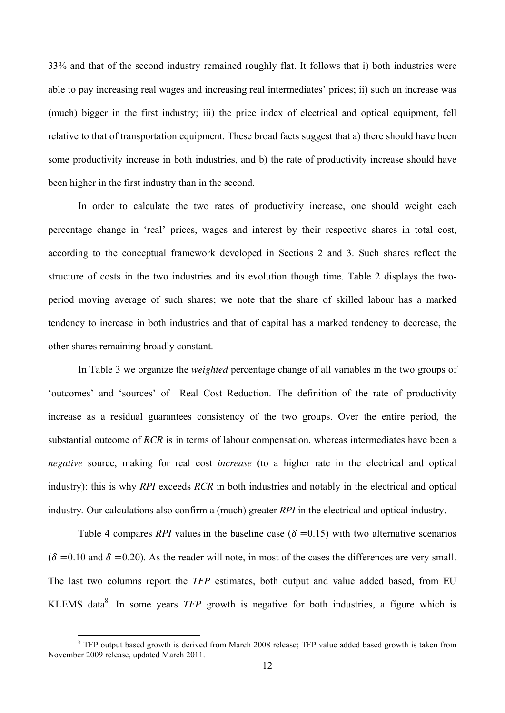33% and that of the second industry remained roughly flat. It follows that i) both industries were able to pay increasing real wages and increasing real intermediates' prices; ii) such an increase was (much) bigger in the first industry; iii) the price index of electrical and optical equipment, fell relative to that of transportation equipment. These broad facts suggest that a) there should have been some productivity increase in both industries, and b) the rate of productivity increase should have been higher in the first industry than in the second.

In order to calculate the two rates of productivity increase, one should weight each percentage change in 'real' prices, wages and interest by their respective shares in total cost, according to the conceptual framework developed in Sections 2 and 3. Such shares reflect the structure of costs in the two industries and its evolution though time. Table 2 displays the twoperiod moving average of such shares; we note that the share of skilled labour has a marked tendency to increase in both industries and that of capital has a marked tendency to decrease, the other shares remaining broadly constant.

In Table 3 we organize the *weighted* percentage change of all variables in the two groups of 'outcomes' and 'sources' of Real Cost Reduction. The definition of the rate of productivity increase as a residual guarantees consistency of the two groups. Over the entire period, the substantial outcome of *RCR* is in terms of labour compensation, whereas intermediates have been a *negative* source, making for real cost *increase* (to a higher rate in the electrical and optical industry): this is why *RPI* exceeds *RCR* in both industries and notably in the electrical and optical industry*.* Our calculations also confirm a (much) greater *RPI* in the electrical and optical industry.

Table 4 compares *RPI* values in the baseline case ( $\delta = 0.15$ ) with two alternative scenarios  $(\delta = 0.10$  and  $\delta = 0.20$ ). As the reader will note, in most of the cases the differences are very small. The last two columns report the *TFP* estimates, both output and value added based, from EU KLEMS data<sup>8</sup>. In some years *TFP* growth is negative for both industries, a figure which is

 $\overline{a}$ 

<sup>&</sup>lt;sup>8</sup> TFP output based growth is derived from March 2008 release; TFP value added based growth is taken from November 2009 release, updated March 2011.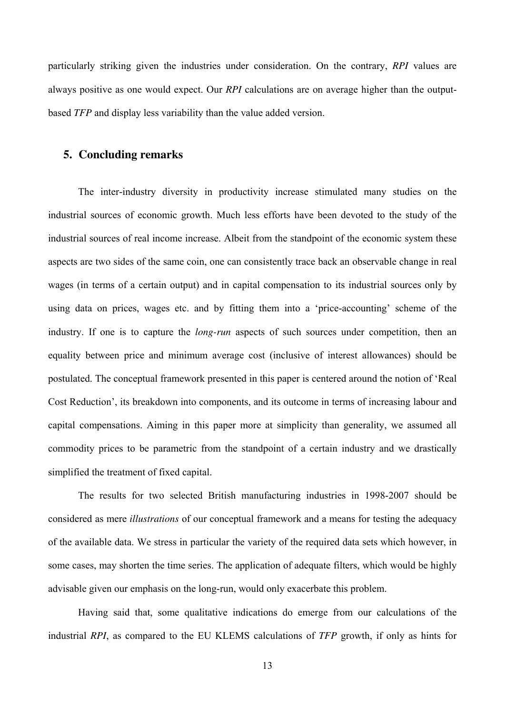particularly striking given the industries under consideration. On the contrary, *RPI* values are always positive as one would expect. Our *RPI* calculations are on average higher than the outputbased *TFP* and display less variability than the value added version.

#### **5. Concluding remarks**

The inter-industry diversity in productivity increase stimulated many studies on the industrial sources of economic growth. Much less efforts have been devoted to the study of the industrial sources of real income increase. Albeit from the standpoint of the economic system these aspects are two sides of the same coin, one can consistently trace back an observable change in real wages (in terms of a certain output) and in capital compensation to its industrial sources only by using data on prices, wages etc. and by fitting them into a 'price-accounting' scheme of the industry. If one is to capture the *long-run* aspects of such sources under competition, then an equality between price and minimum average cost (inclusive of interest allowances) should be postulated. The conceptual framework presented in this paper is centered around the notion of 'Real Cost Reduction', its breakdown into components, and its outcome in terms of increasing labour and capital compensations. Aiming in this paper more at simplicity than generality, we assumed all commodity prices to be parametric from the standpoint of a certain industry and we drastically simplified the treatment of fixed capital.

The results for two selected British manufacturing industries in 1998-2007 should be considered as mere *illustrations* of our conceptual framework and a means for testing the adequacy of the available data. We stress in particular the variety of the required data sets which however, in some cases, may shorten the time series. The application of adequate filters, which would be highly advisable given our emphasis on the long-run, would only exacerbate this problem.

Having said that, some qualitative indications do emerge from our calculations of the industrial *RPI*, as compared to the EU KLEMS calculations of *TFP* growth, if only as hints for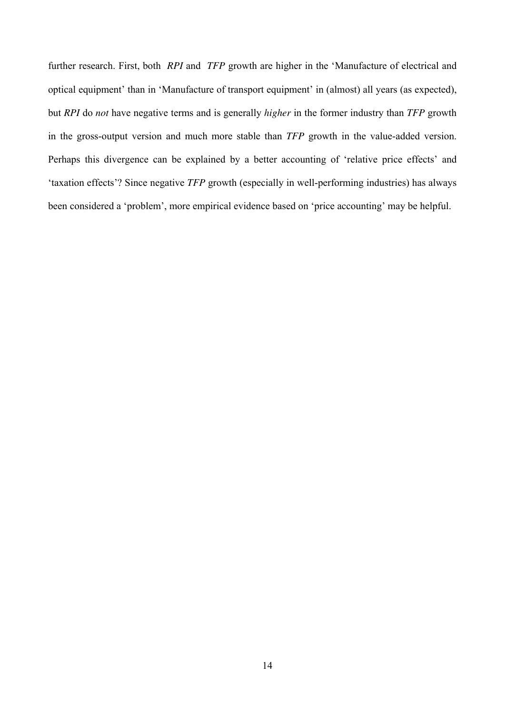further research. First, both *RPI* and *TFP* growth are higher in the 'Manufacture of electrical and optical equipment' than in 'Manufacture of transport equipment' in (almost) all years (as expected), but *RPI* do *not* have negative terms and is generally *higher* in the former industry than *TFP* growth in the gross-output version and much more stable than *TFP* growth in the value-added version. Perhaps this divergence can be explained by a better accounting of 'relative price effects' and 'taxation effects'? Since negative *TFP* growth (especially in well-performing industries) has always been considered a 'problem', more empirical evidence based on 'price accounting' may be helpful.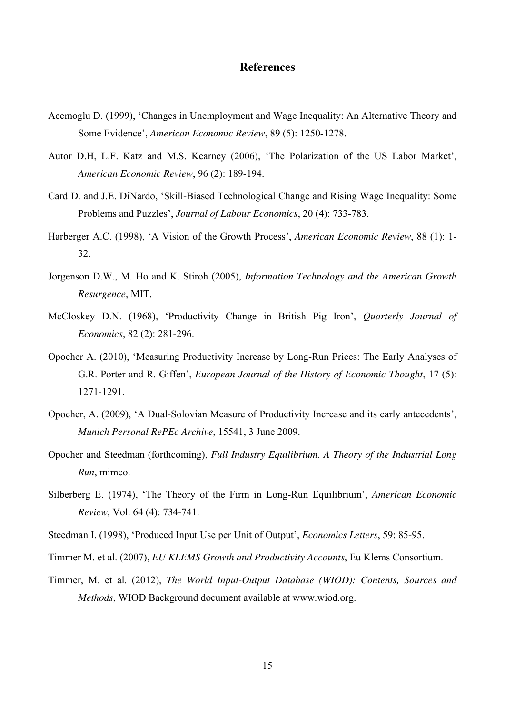#### **References**

- Acemoglu D. (1999), 'Changes in Unemployment and Wage Inequality: An Alternative Theory and Some Evidence', *American Economic Review*, 89 (5): 1250-1278.
- Autor D.H, L.F. Katz and M.S. Kearney (2006), 'The Polarization of the US Labor Market', *American Economic Review*, 96 (2): 189-194.
- Card D. and J.E. DiNardo, 'Skill-Biased Technological Change and Rising Wage Inequality: Some Problems and Puzzles', *Journal of Labour Economics*, 20 (4): 733-783.
- Harberger A.C. (1998), 'A Vision of the Growth Process', *American Economic Review*, 88 (1): 1- 32.
- Jorgenson D.W., M. Ho and K. Stiroh (2005), *Information Technology and the American Growth Resurgence*, MIT.
- McCloskey D.N. (1968), 'Productivity Change in British Pig Iron', *Quarterly Journal of Economics*, 82 (2): 281-296.
- Opocher A. (2010), 'Measuring Productivity Increase by Long-Run Prices: The Early Analyses of G.R. Porter and R. Giffen', *European Journal of the History of Economic Thought*, 17 (5): 1271-1291.
- Opocher, A. (2009), 'A Dual-Solovian Measure of Productivity Increase and its early antecedents', *Munich Personal RePEc Archive*, 15541, 3 June 2009.
- Opocher and Steedman (forthcoming), *Full Industry Equilibrium. A Theory of the Industrial Long Run*, mimeo.
- Silberberg E. (1974), 'The Theory of the Firm in Long-Run Equilibrium', *American Economic Review*, Vol. 64 (4): 734-741.
- Steedman I. (1998), 'Produced Input Use per Unit of Output', *Economics Letters*, 59: 85-95.
- Timmer M. et al. (2007), *EU KLEMS Growth and Productivity Accounts*, Eu Klems Consortium.
- Timmer, M. et al. (2012), *The World Input-Output Database (WIOD): Contents, Sources and Methods*, WIOD Background document available at www.wiod.org.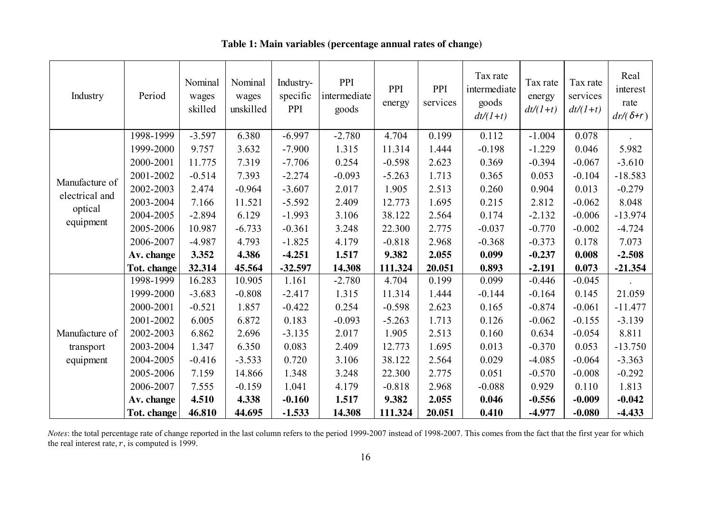| Industry       | Period      | Nominal<br>wages<br>skilled | Nominal<br>wages<br>unskilled | Industry-<br>specific<br>PPI | PPI<br>intermediate<br>goods | PPI<br>energy | PPI<br>services | Tax rate<br>intermediate<br>goods<br>$dt/(1+t)$ | Tax rate<br>energy<br>$dt/(1+t)$ | Tax rate<br>services<br>$dt/(1+t)$ | Real<br>interest<br>rate<br>$dr/(\delta+r)$ |
|----------------|-------------|-----------------------------|-------------------------------|------------------------------|------------------------------|---------------|-----------------|-------------------------------------------------|----------------------------------|------------------------------------|---------------------------------------------|
|                | 1998-1999   | $-3.597$                    | 6.380                         | $-6.997$                     | $-2.780$                     | 4.704         | 0.199           | 0.112                                           | $-1.004$                         | 0.078                              |                                             |
|                | 1999-2000   | 9.757                       | 3.632                         | $-7.900$                     | 1.315                        | 11.314        | 1.444           | $-0.198$                                        | $-1.229$                         | 0.046                              | 5.982                                       |
|                | 2000-2001   | 11.775                      | 7.319                         | $-7.706$                     | 0.254                        | $-0.598$      | 2.623           | 0.369                                           | $-0.394$                         | $-0.067$                           | $-3.610$                                    |
| Manufacture of | 2001-2002   | $-0.514$                    | 7.393                         | $-2.274$                     | $-0.093$                     | $-5.263$      | 1.713           | 0.365                                           | 0.053                            | $-0.104$                           | $-18.583$                                   |
| electrical and | 2002-2003   | 2.474                       | $-0.964$                      | $-3.607$                     | 2.017                        | 1.905         | 2.513           | 0.260                                           | 0.904                            | 0.013                              | $-0.279$                                    |
|                | 2003-2004   | 7.166                       | 11.521                        | $-5.592$                     | 2.409                        | 12.773        | 1.695           | 0.215                                           | 2.812                            | $-0.062$                           | 8.048                                       |
| optical        | 2004-2005   | $-2.894$                    | 6.129                         | $-1.993$                     | 3.106                        | 38.122        | 2.564           | 0.174                                           | $-2.132$                         | $-0.006$                           | $-13.974$                                   |
| equipment      | 2005-2006   | 10.987                      | $-6.733$                      | $-0.361$                     | 3.248                        | 22.300        | 2.775           | $-0.037$                                        | $-0.770$                         | $-0.002$                           | $-4.724$                                    |
|                | 2006-2007   | $-4.987$                    | 4.793                         | $-1.825$                     | 4.179                        | $-0.818$      | 2.968           | $-0.368$                                        | $-0.373$                         | 0.178                              | 7.073                                       |
|                | Av. change  | 3.352                       | 4.386                         | $-4.251$                     | 1.517                        | 9.382         | 2.055           | 0.099                                           | $-0.237$                         | 0.008                              | $-2.508$                                    |
|                | Tot. change | 32.314                      | 45.564                        | $-32.597$                    | 14.308                       | 111.324       | 20.051          | 0.893                                           | $-2.191$                         | 0.073                              | $-21.354$                                   |
|                | 1998-1999   | 16.283                      | 10.905                        | 1.161                        | $-2.780$                     | 4.704         | 0.199           | 0.099                                           | $-0.446$                         | $-0.045$                           |                                             |
|                | 1999-2000   | $-3.683$                    | $-0.808$                      | $-2.417$                     | 1.315                        | 11.314        | 1.444           | $-0.144$                                        | $-0.164$                         | 0.145                              | 21.059                                      |
|                | 2000-2001   | $-0.521$                    | 1.857                         | $-0.422$                     | 0.254                        | $-0.598$      | 2.623           | 0.165                                           | $-0.874$                         | $-0.061$                           | $-11.477$                                   |
|                | 2001-2002   | 6.005                       | 6.872                         | 0.183                        | $-0.093$                     | $-5.263$      | 1.713           | 0.126                                           | $-0.062$                         | $-0.155$                           | $-3.139$                                    |
| Manufacture of | 2002-2003   | 6.862                       | 2.696                         | $-3.135$                     | 2.017                        | 1.905         | 2.513           | 0.160                                           | 0.634                            | $-0.054$                           | 8.811                                       |
| transport      | 2003-2004   | 1.347                       | 6.350                         | 0.083                        | 2.409                        | 12.773        | 1.695           | 0.013                                           | $-0.370$                         | 0.053                              | $-13.750$                                   |
| equipment      | 2004-2005   | $-0.416$                    | $-3.533$                      | 0.720                        | 3.106                        | 38.122        | 2.564           | 0.029                                           | $-4.085$                         | $-0.064$                           | $-3.363$                                    |
|                | 2005-2006   | 7.159                       | 14.866                        | 1.348                        | 3.248                        | 22.300        | 2.775           | 0.051                                           | $-0.570$                         | $-0.008$                           | $-0.292$                                    |
|                | 2006-2007   | 7.555                       | $-0.159$                      | 1.041                        | 4.179                        | $-0.818$      | 2.968           | $-0.088$                                        | 0.929                            | 0.110                              | 1.813                                       |
|                | Av. change  | 4.510                       | 4.338                         | $-0.160$                     | 1.517                        | 9.382         | 2.055           | 0.046                                           | $-0.556$                         | $-0.009$                           | $-0.042$                                    |
|                | Tot. change | 46.810                      | 44.695                        | $-1.533$                     | 14.308                       | 111.324       | 20.051          | 0.410                                           | $-4.977$                         | $-0.080$                           | $-4.433$                                    |

#### **Table 1: Main variables (percentage annual rates of change)**

*Notes*: the total percentage rate of change reported in the last column refers to the period 1999-2007 instead of 1998-2007. This comes from the fact that the first year for which the real interest rate,  $r$ , is computed is 1999.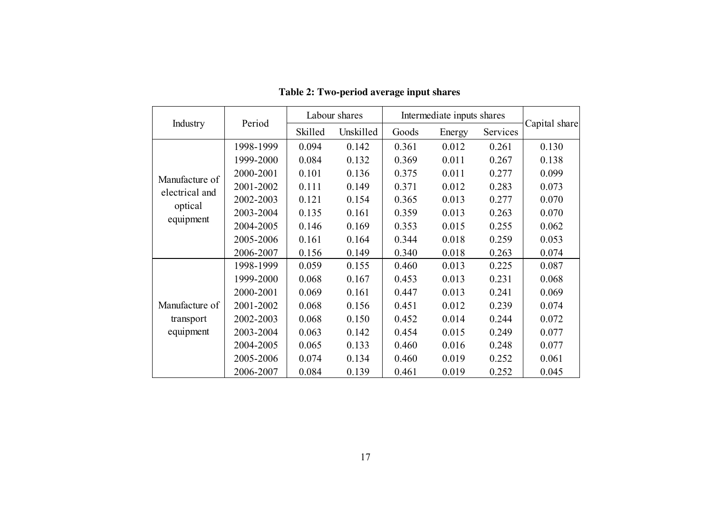|                | Period    |         | Labour shares | Intermediate inputs shares |        |          |               |
|----------------|-----------|---------|---------------|----------------------------|--------|----------|---------------|
| Industry       |           | Skilled | Unskilled     | Goods                      | Energy | Services | Capital share |
|                | 1998-1999 | 0.094   | 0.142         | 0.361                      | 0.012  | 0.261    | 0.130         |
|                | 1999-2000 | 0.084   | 0.132         | 0.369                      | 0.011  | 0.267    | 0.138         |
| Manufacture of | 2000-2001 | 0.101   | 0.136         | 0.375                      | 0.011  | 0.277    | 0.099         |
| electrical and | 2001-2002 | 0.111   | 0.149         | 0.371                      | 0.012  | 0.283    | 0.073         |
| optical        | 2002-2003 | 0.121   | 0.154         | 0.365                      | 0.013  | 0.277    | 0.070         |
| equipment      | 2003-2004 | 0.135   | 0.161         | 0.359                      | 0.013  | 0.263    | 0.070         |
|                | 2004-2005 | 0.146   | 0.169         | 0.353                      | 0.015  | 0.255    | 0.062         |
|                | 2005-2006 | 0.161   | 0.164         | 0.344                      | 0.018  | 0.259    | 0.053         |
|                | 2006-2007 | 0.156   | 0.149         | 0.340                      | 0.018  | 0.263    | 0.074         |
|                | 1998-1999 | 0.059   | 0.155         | 0.460                      | 0.013  | 0.225    | 0.087         |
|                | 1999-2000 | 0.068   | 0.167         | 0.453                      | 0.013  | 0.231    | 0.068         |
|                | 2000-2001 | 0.069   | 0.161         | 0.447                      | 0.013  | 0.241    | 0.069         |
| Manufacture of | 2001-2002 | 0.068   | 0.156         | 0.451                      | 0.012  | 0.239    | 0.074         |
| transport      | 2002-2003 | 0.068   | 0.150         | 0.452                      | 0.014  | 0.244    | 0.072         |
| equipment      | 2003-2004 | 0.063   | 0.142         | 0.454                      | 0.015  | 0.249    | 0.077         |
|                | 2004-2005 | 0.065   | 0.133         | 0.460                      | 0.016  | 0.248    | 0.077         |
|                | 2005-2006 | 0.074   | 0.134         | 0.460                      | 0.019  | 0.252    | 0.061         |
|                | 2006-2007 | 0.084   | 0.139         | 0.461                      | 0.019  | 0.252    | 0.045         |

 **Table 2: Two-period average input shares**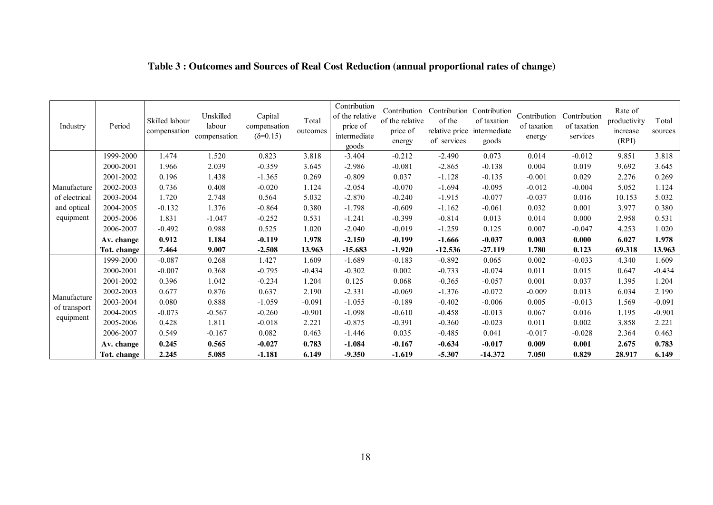| Industry                                  | Period      | Skilled labour<br>compensation | Unskilled<br>labour<br>compensation | Capital<br>compensation<br>$(\delta = 0.15)$ | Total<br>outcomes | Contribution<br>of the relative<br>price of<br>intermediate<br>goods | of the relative<br>price of<br>energy | Contribution Contribution Contribution<br>of the<br>relative price intermediate<br>of services | of taxation<br>goods | Contribution<br>of taxation<br>energy | Contribution<br>of taxation<br>services | Rate of<br>productivity<br>increase<br>(RPI) | Total<br>sources |
|-------------------------------------------|-------------|--------------------------------|-------------------------------------|----------------------------------------------|-------------------|----------------------------------------------------------------------|---------------------------------------|------------------------------------------------------------------------------------------------|----------------------|---------------------------------------|-----------------------------------------|----------------------------------------------|------------------|
|                                           | 1999-2000   | 1.474                          | 1.520                               | 0.823                                        | 3.818             | $-3.404$                                                             | $-0.212$                              | $-2.490$                                                                                       | 0.073                | 0.014                                 | $-0.012$                                | 9.851                                        | 3.818            |
|                                           | 2000-2001   | 1.966                          | 2.039                               | $-0.359$                                     | 3.645             | $-2.986$                                                             | $-0.081$                              | $-2.865$                                                                                       | $-0.138$             | 0.004                                 | 0.019                                   | 9.692                                        | 3.645            |
|                                           | 2001-2002   | 0.196                          | 1.438                               | $-1.365$                                     | 0.269             | $-0.809$                                                             | 0.037                                 | $-1.128$                                                                                       | $-0.135$             | $-0.001$                              | 0.029                                   | 2.276                                        | 0.269            |
| Manufacture                               | 2002-2003   | 0.736                          | 0.408                               | $-0.020$                                     | 1.124             | $-2.054$                                                             | $-0.070$                              | $-1.694$                                                                                       | $-0.095$             | $-0.012$                              | $-0.004$                                | 5.052                                        | 1.124            |
| of electrical<br>and optical<br>equipment | 2003-2004   | 1.720                          | 2.748                               | 0.564                                        | 5.032             | $-2.870$                                                             | $-0.240$                              | $-1.915$                                                                                       | $-0.077$             | $-0.037$                              | 0.016                                   | 10.153                                       | 5.032            |
|                                           | 2004-2005   | $-0.132$                       | 1.376                               | $-0.864$                                     | 0.380             | $-1.798$                                                             | $-0.609$                              | $-1.162$                                                                                       | $-0.061$             | 0.032                                 | 0.001                                   | 3.977                                        | 0.380            |
|                                           | 2005-2006   | 1.831                          | $-1.047$                            | $-0.252$                                     | 0.531             | $-1.241$                                                             | $-0.399$                              | $-0.814$                                                                                       | 0.013                | 0.014                                 | 0.000                                   | 2.958                                        | 0.531            |
|                                           | 2006-2007   | $-0.492$                       | 0.988                               | 0.525                                        | 1.020             | $-2.040$                                                             | $-0.019$                              | $-1.259$                                                                                       | 0.125                | 0.007                                 | $-0.047$                                | 4.253                                        | 1.020            |
|                                           | Av. change  | 0.912                          | 1.184                               | $-0.119$                                     | 1.978             | $-2.150$                                                             | $-0.199$                              | $-1.666$                                                                                       | $-0.037$             | 0.003                                 | 0.000                                   | 6.027                                        | 1.978            |
|                                           | Tot. change | 7.464                          | 9.007                               | $-2.508$                                     | 13.963            | $-15.683$                                                            | $-1.920$                              | $-12.536$                                                                                      | $-27.119$            | 1.780                                 | 0.123                                   | 69.318                                       | 13.963           |
|                                           | 1999-2000   | $-0.087$                       | 0.268                               | 1.427                                        | 1.609             | $-1.689$                                                             | $-0.183$                              | $-0.892$                                                                                       | 0.065                | 0.002                                 | $-0.033$                                | 4.340                                        | 1.609            |
|                                           | 2000-2001   | $-0.007$                       | 0.368                               | $-0.795$                                     | $-0.434$          | $-0.302$                                                             | 0.002                                 | $-0.733$                                                                                       | $-0.074$             | 0.011                                 | 0.015                                   | 0.647                                        | $-0.434$         |
|                                           | 2001-2002   | 0.396                          | 1.042                               | $-0.234$                                     | 1.204             | 0.125                                                                | 0.068                                 | $-0.365$                                                                                       | $-0.057$             | 0.001                                 | 0.037                                   | 1.395                                        | 1.204            |
| Manufacture                               | 2002-2003   | 0.677                          | 0.876                               | 0.637                                        | 2.190             | $-2.331$                                                             | $-0.069$                              | $-1.376$                                                                                       | $-0.072$             | $-0.009$                              | 0.013                                   | 6.034                                        | 2.190            |
|                                           | 2003-2004   | 0.080                          | 0.888                               | $-1.059$                                     | $-0.091$          | $-1.055$                                                             | $-0.189$                              | $-0.402$                                                                                       | $-0.006$             | 0.005                                 | $-0.013$                                | 1.569                                        | $-0.091$         |
| of transport<br>equipment                 | 2004-2005   | $-0.073$                       | $-0.567$                            | $-0.260$                                     | $-0.901$          | $-1.098$                                                             | $-0.610$                              | $-0.458$                                                                                       | $-0.013$             | 0.067                                 | 0.016                                   | 1.195                                        | $-0.901$         |
|                                           | 2005-2006   | 0.428                          | 1.811                               | $-0.018$                                     | 2.221             | $-0.875$                                                             | $-0.391$                              | $-0.360$                                                                                       | $-0.023$             | 0.011                                 | 0.002                                   | 3.858                                        | 2.221            |
|                                           | 2006-2007   | 0.549                          | $-0.167$                            | 0.082                                        | 0.463             | $-1.446$                                                             | 0.035                                 | $-0.485$                                                                                       | 0.041                | $-0.017$                              | $-0.028$                                | 2.364                                        | 0.463            |
|                                           | Av. change  | 0.245                          | 0.565                               | $-0.027$                                     | 0.783             | $-1.084$                                                             | $-0.167$                              | $-0.634$                                                                                       | $-0.017$             | 0.009                                 | 0.001                                   | 2.675                                        | 0.783            |
|                                           | Tot. change | 2.245                          | 5.085                               | $-1.181$                                     | 6.149             | $-9.350$                                                             | $-1.619$                              | $-5.307$                                                                                       | $-14.372$            | 7.050                                 | 0.829                                   | 28.917                                       | 6.149            |

### **Table 3 : Outcomes and Sources of Real Cost Reduction (annual proportional rates of change)**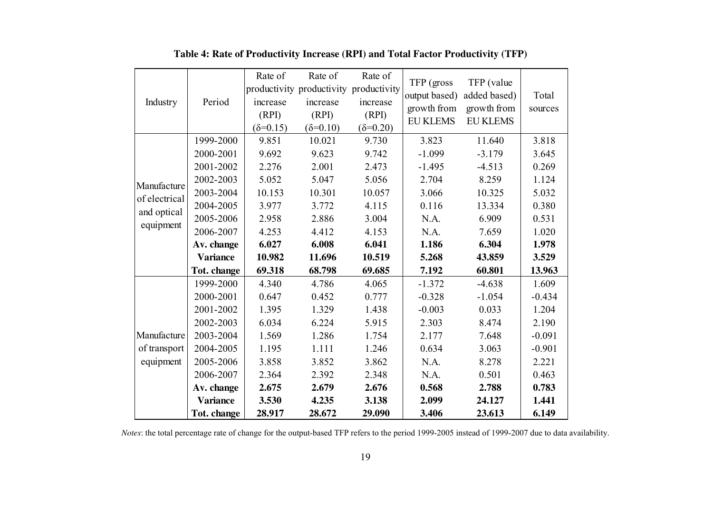|                          |                 | Rate of           | Rate of                                | Rate of           |                 |                 |          |
|--------------------------|-----------------|-------------------|----------------------------------------|-------------------|-----------------|-----------------|----------|
| Industry                 |                 |                   | productivity productivity productivity |                   | TFP (gross)     | TFP (value      |          |
|                          | Period          | increase          | increase                               | increase          | output based)   | added based)    | Total    |
|                          |                 | (RPI)             | (RPI)                                  | (RPI)             | growth from     | growth from     | sources  |
|                          |                 | $(\delta = 0.15)$ | $(\delta = 0.10)$                      | $(\delta = 0.20)$ | <b>EU KLEMS</b> | <b>EU KLEMS</b> |          |
|                          | 1999-2000       | 9.851             | 10.021                                 | 9.730             | 3.823           | 11.640          | 3.818    |
|                          | 2000-2001       | 9.692             | 9.623                                  | 9.742             | $-1.099$        | $-3.179$        | 3.645    |
|                          | 2001-2002       | 2.276             | 2.001                                  | 2.473             | $-1.495$        | $-4.513$        | 0.269    |
| Manufacture              | 2002-2003       | 5.052             | 5.047                                  | 5.056             | 2.704           | 8.259           | 1.124    |
| of electrical            | 2003-2004       | 10.153            | 10.301                                 | 10.057            | 3.066           | 10.325          | 5.032    |
|                          | 2004-2005       | 3.977             | 3.772                                  | 4.115             | 0.116           | 13.334          | 0.380    |
| and optical<br>equipment | 2005-2006       | 2.958             | 2.886                                  | 3.004             | N.A.            | 6.909           | 0.531    |
|                          | 2006-2007       | 4.253             | 4.412                                  | 4.153             | N.A.            | 7.659           | 1.020    |
|                          | Av. change      | 6.027             | 6.008                                  | 6.041             | 1.186           | 6.304           | 1.978    |
|                          | <b>Variance</b> | 10.982            | 11.696                                 | 10.519            | 5.268           | 43.859          | 3.529    |
|                          | Tot. change     | 69.318            | 68.798                                 | 69.685            | 7.192           | 60.801          | 13.963   |
|                          | 1999-2000       | 4.340             | 4.786                                  | 4.065             | $-1.372$        | $-4.638$        | 1.609    |
|                          | 2000-2001       | 0.647             | 0.452                                  | 0.777             | $-0.328$        | $-1.054$        | $-0.434$ |
|                          | 2001-2002       | 1.395             | 1.329                                  | 1.438             | $-0.003$        | 0.033           | 1.204    |
|                          | 2002-2003       | 6.034             | 6.224                                  | 5.915             | 2.303           | 8.474           | 2.190    |
| Manufacture              | 2003-2004       | 1.569             | 1.286                                  | 1.754             | 2.177           | 7.648           | $-0.091$ |
| of transport             | 2004-2005       | 1.195             | 1.111                                  | 1.246             | 0.634           | 3.063           | $-0.901$ |
| equipment                | 2005-2006       | 3.858             | 3.852                                  | 3.862             | N.A.            | 8.278           | 2.221    |
|                          | 2006-2007       | 2.364             | 2.392                                  | 2.348             | N.A.            | 0.501           | 0.463    |
|                          | Av. change      | 2.675             | 2.679                                  | 2.676             | 0.568           | 2.788           | 0.783    |
|                          | <b>Variance</b> | 3.530             | 4.235                                  | 3.138             | 2.099           | 24.127          | 1.441    |
|                          | Tot. change     | 28.917            | 28.672                                 | 29.090            | 3.406           | 23.613          | 6.149    |

**Table 4: Rate of Productivity Increase (RPI) and Total Factor Productivity (TFP)**

٠ŕ.

*Notes*: the total percentage rate of change for the output-based TFP refers to the period 1999-2005 instead of 1999-2007 due to data availability.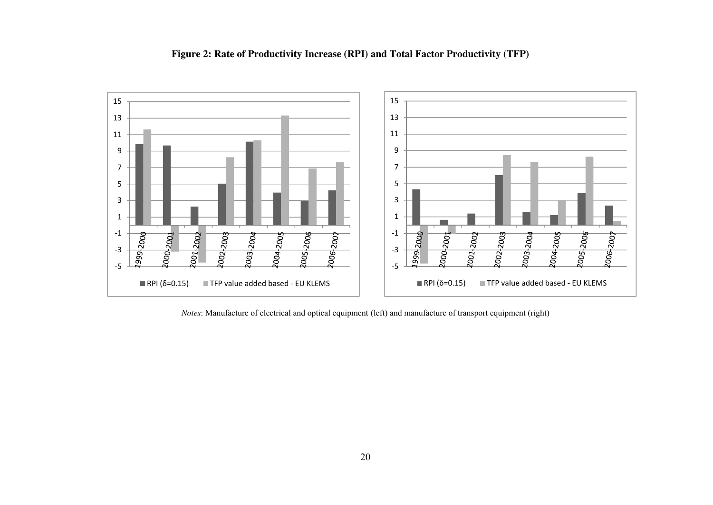

#### **Figure 2: Rate of Productivity Increase (RPI) and Total Factor Productivity (TFP)**

*Notes*: Manufacture of electrical and optical equipment (left) and manufacture of transport equipment (right)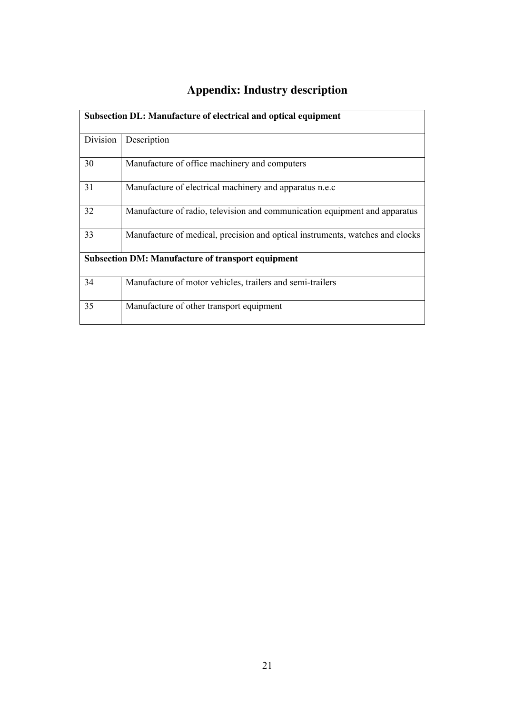## **Appendix: Industry description**

|          | Subsection DL: Manufacture of electrical and optical equipment                |
|----------|-------------------------------------------------------------------------------|
| Division | Description                                                                   |
| 30       | Manufacture of office machinery and computers                                 |
| 31       | Manufacture of electrical machinery and apparatus n.e.c                       |
| 32       | Manufacture of radio, television and communication equipment and apparatus    |
| 33       | Manufacture of medical, precision and optical instruments, watches and clocks |
|          | <b>Subsection DM: Manufacture of transport equipment</b>                      |
| 34       | Manufacture of motor vehicles, trailers and semi-trailers                     |
| 35       | Manufacture of other transport equipment                                      |